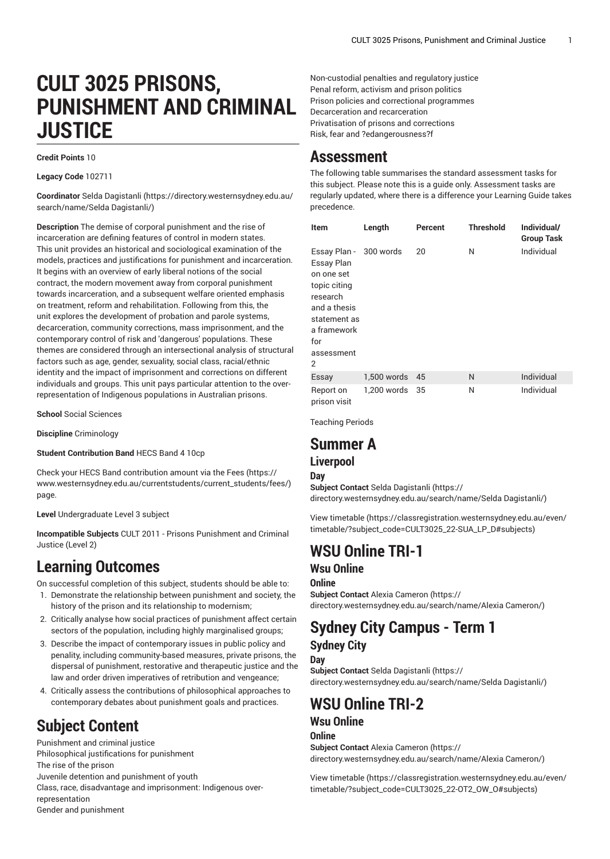# **CULT 3025 PRISONS, PUNISHMENT AND CRIMINAL JUSTICE**

#### **Credit Points** 10

**Legacy Code** 102711

**Coordinator** [Selda Dagistanli \(https://directory.westernsydney.edu.au/](https://directory.westernsydney.edu.au/search/name/Selda Dagistanli/) [search/name/Selda](https://directory.westernsydney.edu.au/search/name/Selda Dagistanli/) Dagistanli/)

**Description** The demise of corporal punishment and the rise of incarceration are defining features of control in modern states. This unit provides an historical and sociological examination of the models, practices and justifications for punishment and incarceration. It begins with an overview of early liberal notions of the social contract, the modern movement away from corporal punishment towards incarceration, and a subsequent welfare oriented emphasis on treatment, reform and rehabilitation. Following from this, the unit explores the development of probation and parole systems, decarceration, community corrections, mass imprisonment, and the contemporary control of risk and 'dangerous' populations. These themes are considered through an intersectional analysis of structural factors such as age, gender, sexuality, social class, racial/ethnic identity and the impact of imprisonment and corrections on different individuals and groups. This unit pays particular attention to the overrepresentation of Indigenous populations in Australian prisons.

**School** Social Sciences

**Discipline** Criminology

**Student Contribution Band** HECS Band 4 10cp

Check your HECS Band contribution amount via the [Fees \(https://](https://www.westernsydney.edu.au/currentstudents/current_students/fees/) [www.westernsydney.edu.au/currentstudents/current\\_students/fees/\)](https://www.westernsydney.edu.au/currentstudents/current_students/fees/) page.

**Level** Undergraduate Level 3 subject

**Incompatible Subjects** [CULT](/search/?P=CULT%202011) 2011 - Prisons Punishment and Criminal Justice (Level 2)

### **Learning Outcomes**

On successful completion of this subject, students should be able to:

- 1. Demonstrate the relationship between punishment and society, the history of the prison and its relationship to modernism;
- 2. Critically analyse how social practices of punishment affect certain sectors of the population, including highly marginalised groups;
- 3. Describe the impact of contemporary issues in public policy and penality, including community-based measures, private prisons, the dispersal of punishment, restorative and therapeutic justice and the law and order driven imperatives of retribution and vengeance;
- 4. Critically assess the contributions of philosophical approaches to contemporary debates about punishment goals and practices.

# **Subject Content**

Punishment and criminal justice Philosophical justifications for punishment The rise of the prison Juvenile detention and punishment of youth Class, race, disadvantage and imprisonment: Indigenous overrepresentation Gender and punishment

Non-custodial penalties and regulatory justice Penal reform, activism and prison politics Prison policies and correctional programmes Decarceration and recarceration Privatisation of prisons and corrections Risk, fear and ?edangerousness?f

### **Assessment**

The following table summarises the standard assessment tasks for this subject. Please note this is a guide only. Assessment tasks are regularly updated, where there is a difference your Learning Guide takes precedence.

| Item                                                                                                                                                    | Length      | Percent | <b>Threshold</b> | Individual/<br><b>Group Task</b> |
|---------------------------------------------------------------------------------------------------------------------------------------------------------|-------------|---------|------------------|----------------------------------|
| Essay Plan - 300 words<br>Essay Plan<br>on one set<br>topic citing<br>research<br>and a thesis<br>statement as<br>a framework<br>for<br>assessment<br>2 |             | 20      | N                | Individual                       |
| Essay                                                                                                                                                   | 1,500 words | 45      | N                | Individual                       |
| Report on<br>prison visit                                                                                                                               | 1.200 words | 35      | N                | Individual                       |

Teaching Periods

# **Summer A**

### **Liverpool**

**Day**

**Subject Contact** [Selda Dagistanli](https://directory.westernsydney.edu.au/search/name/Selda Dagistanli/) ([https://](https://directory.westernsydney.edu.au/search/name/Selda Dagistanli/) [directory.westernsydney.edu.au/search/name/Selda](https://directory.westernsydney.edu.au/search/name/Selda Dagistanli/) Dagistanli/)

[View timetable](https://classregistration.westernsydney.edu.au/even/timetable/?subject_code=CULT3025_22-SUA_LP_D#subjects) [\(https://classregistration.westernsydney.edu.au/even/](https://classregistration.westernsydney.edu.au/even/timetable/?subject_code=CULT3025_22-SUA_LP_D#subjects) [timetable/?subject\\_code=CULT3025\\_22-SUA\\_LP\\_D#subjects](https://classregistration.westernsydney.edu.au/even/timetable/?subject_code=CULT3025_22-SUA_LP_D#subjects))

## **WSU Online TRI-1**

### **Wsu Online**

**Online**

**Subject Contact** Alexia [Cameron](https://directory.westernsydney.edu.au/search/name/Alexia Cameron/) ([https://](https://directory.westernsydney.edu.au/search/name/Alexia Cameron/) [directory.westernsydney.edu.au/search/name/Alexia](https://directory.westernsydney.edu.au/search/name/Alexia Cameron/) Cameron/)

### **Sydney City Campus - Term 1 Sydney City**

**Day**

**Subject Contact** [Selda Dagistanli](https://directory.westernsydney.edu.au/search/name/Selda Dagistanli/) ([https://](https://directory.westernsydney.edu.au/search/name/Selda Dagistanli/) [directory.westernsydney.edu.au/search/name/Selda](https://directory.westernsydney.edu.au/search/name/Selda Dagistanli/) Dagistanli/)

### **WSU Online TRI-2 Wsu Online**

#### **Online**

**Subject Contact** Alexia [Cameron](https://directory.westernsydney.edu.au/search/name/Alexia Cameron/) ([https://](https://directory.westernsydney.edu.au/search/name/Alexia Cameron/) [directory.westernsydney.edu.au/search/name/Alexia](https://directory.westernsydney.edu.au/search/name/Alexia Cameron/) Cameron/)

[View timetable](https://classregistration.westernsydney.edu.au/even/timetable/?subject_code=CULT3025_22-OT2_OW_O#subjects) [\(https://classregistration.westernsydney.edu.au/even/](https://classregistration.westernsydney.edu.au/even/timetable/?subject_code=CULT3025_22-OT2_OW_O#subjects) [timetable/?subject\\_code=CULT3025\\_22-OT2\\_OW\\_O#subjects](https://classregistration.westernsydney.edu.au/even/timetable/?subject_code=CULT3025_22-OT2_OW_O#subjects))